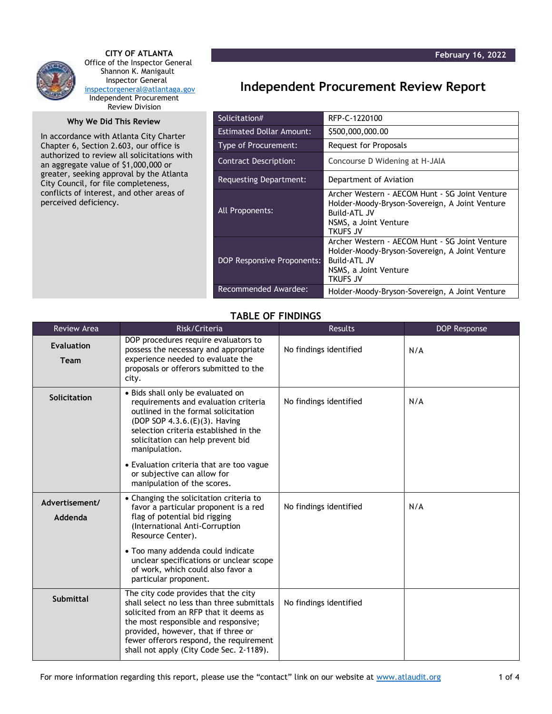

 **CITY OF ATLANTA** Office of the Inspector General Shannon K. Manigault Inspector General [inspectorgeneral@atlantaga.gov](mailto:inspectorgeneral@atlantaga.gov) Independent Procurement Review Division

## **Why We Did This Review**

In accordance with Atlanta City Charter Chapter 6, Section 2.603, our office is authorized to review all solicitations with an aggregate value of \$1,000,000 or greater, seeking approval by the Atlanta City Council, for file completeness, conflicts of interest, and other areas of perceived deficiency.

## **Independent Procurement Review Report**

| Solicitation#                   | RFP-C-1220100                                                                                                                                                |
|---------------------------------|--------------------------------------------------------------------------------------------------------------------------------------------------------------|
| <b>Estimated Dollar Amount:</b> | \$500,000,000.00                                                                                                                                             |
| Type of Procurement:            | Request for Proposals                                                                                                                                        |
| <b>Contract Description:</b>    | Concourse D Widening at H-JAIA                                                                                                                               |
| Requesting Department:          | Department of Aviation                                                                                                                                       |
| All Proponents:                 | Archer Western - AECOM Hunt - SG Joint Venture<br>Holder-Moody-Bryson-Sovereign, A Joint Venture<br>Build-ATL JV<br>NSMS, a Joint Venture<br><b>TKUFS JV</b> |
| DOP Responsive Proponents:      | Archer Western - AECOM Hunt - SG Joint Venture<br>Holder-Moody-Bryson-Sovereign, A Joint Venture<br>Build-ATL JV<br>NSMS, a Joint Venture<br>TKUFS JV        |
| Recommended Awardee:            | Holder-Moody-Bryson-Sovereign, A Joint Venture                                                                                                               |

## **TABLE OF FINDINGS**

| <b>Review Area</b>               | Risk/Criteria                                                                                                                                                                                                                                                                                      | <b>Results</b>         | <b>DOP Response</b> |
|----------------------------------|----------------------------------------------------------------------------------------------------------------------------------------------------------------------------------------------------------------------------------------------------------------------------------------------------|------------------------|---------------------|
| <b>Evaluation</b><br><b>Team</b> | DOP procedures require evaluators to<br>possess the necessary and appropriate<br>experience needed to evaluate the<br>proposals or offerors submitted to the<br>city.                                                                                                                              | No findings identified | N/A                 |
| Solicitation                     | • Bids shall only be evaluated on<br>requirements and evaluation criteria<br>outlined in the formal solicitation<br>(DOP SOP 4.3.6.(E)(3). Having<br>selection criteria established in the<br>solicitation can help prevent bid<br>manipulation.                                                   | No findings identified | N/A                 |
|                                  | • Evaluation criteria that are too vague<br>or subjective can allow for<br>manipulation of the scores.                                                                                                                                                                                             |                        |                     |
| Advertisement/<br>Addenda        | • Changing the solicitation criteria to<br>favor a particular proponent is a red<br>flag of potential bid rigging<br>(International Anti-Corruption<br>Resource Center).                                                                                                                           | No findings identified | N/A                 |
|                                  | • Too many addenda could indicate<br>unclear specifications or unclear scope<br>of work, which could also favor a<br>particular proponent.                                                                                                                                                         |                        |                     |
| <b>Submittal</b>                 | The city code provides that the city<br>shall select no less than three submittals<br>solicited from an RFP that it deems as<br>the most responsible and responsive;<br>provided, however, that if three or<br>fewer offerors respond, the requirement<br>shall not apply (City Code Sec. 2-1189). | No findings identified |                     |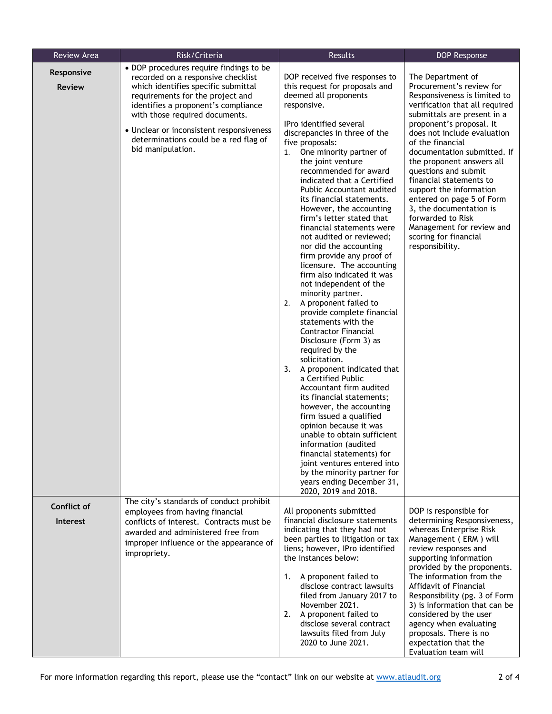| <b>Review Area</b>             | Risk/Criteria                                                                                                                                                                                                                                                                                                                               | Results                                                                                                                                                                                                                                                                                                                                                                                                                                                                                                                                                                                                                                                                                                                                                                                                                                                                                                                                                                        | <b>DOP Response</b>                                                                                                                                                                                                                                                                                                                                                                                                                                                                                                           |
|--------------------------------|---------------------------------------------------------------------------------------------------------------------------------------------------------------------------------------------------------------------------------------------------------------------------------------------------------------------------------------------|--------------------------------------------------------------------------------------------------------------------------------------------------------------------------------------------------------------------------------------------------------------------------------------------------------------------------------------------------------------------------------------------------------------------------------------------------------------------------------------------------------------------------------------------------------------------------------------------------------------------------------------------------------------------------------------------------------------------------------------------------------------------------------------------------------------------------------------------------------------------------------------------------------------------------------------------------------------------------------|-------------------------------------------------------------------------------------------------------------------------------------------------------------------------------------------------------------------------------------------------------------------------------------------------------------------------------------------------------------------------------------------------------------------------------------------------------------------------------------------------------------------------------|
| Responsive<br><b>Review</b>    | • DOP procedures require findings to be<br>recorded on a responsive checklist<br>which identifies specific submittal<br>requirements for the project and<br>identifies a proponent's compliance<br>with those required documents.<br>• Unclear or inconsistent responsiveness<br>determinations could be a red flag of<br>bid manipulation. | DOP received five responses to<br>this request for proposals and<br>deemed all proponents<br>responsive.<br>IPro identified several<br>discrepancies in three of the<br>five proposals:<br>One minority partner of<br>1.<br>the joint venture<br>recommended for award<br>indicated that a Certified<br>Public Accountant audited<br>its financial statements.<br>However, the accounting<br>firm's letter stated that<br>financial statements were<br>not audited or reviewed;<br>nor did the accounting<br>firm provide any proof of<br>licensure. The accounting<br>firm also indicated it was<br>not independent of the<br>minority partner.<br>A proponent failed to<br>2.<br>provide complete financial<br>statements with the<br><b>Contractor Financial</b><br>Disclosure (Form 3) as<br>required by the<br>solicitation.<br>3.<br>A proponent indicated that<br>a Certified Public<br>Accountant firm audited<br>its financial statements;<br>however, the accounting | The Department of<br>Procurement's review for<br>Responsiveness is limited to<br>verification that all required<br>submittals are present in a<br>proponent's proposal. It<br>does not include evaluation<br>of the financial<br>documentation submitted. If<br>the proponent answers all<br>questions and submit<br>financial statements to<br>support the information<br>entered on page 5 of Form<br>3, the documentation is<br>forwarded to Risk<br>Management for review and<br>scoring for financial<br>responsibility. |
|                                |                                                                                                                                                                                                                                                                                                                                             | firm issued a qualified<br>opinion because it was<br>unable to obtain sufficient<br>information (audited<br>financial statements) for<br>joint ventures entered into<br>by the minority partner for<br>years ending December 31,<br>2020, 2019 and 2018.                                                                                                                                                                                                                                                                                                                                                                                                                                                                                                                                                                                                                                                                                                                       |                                                                                                                                                                                                                                                                                                                                                                                                                                                                                                                               |
| Conflict of<br><b>Interest</b> | The city's standards of conduct prohibit<br>employees from having financial<br>conflicts of interest. Contracts must be<br>awarded and administered free from<br>improper influence or the appearance of<br>impropriety.                                                                                                                    | All proponents submitted<br>financial disclosure statements<br>indicating that they had not<br>been parties to litigation or tax<br>liens; however, IPro identified<br>the instances below:<br>A proponent failed to<br>1.<br>disclose contract lawsuits<br>filed from January 2017 to<br>November 2021.<br>A proponent failed to<br>2.<br>disclose several contract<br>lawsuits filed from July<br>2020 to June 2021.                                                                                                                                                                                                                                                                                                                                                                                                                                                                                                                                                         | DOP is responsible for<br>determining Responsiveness,<br>whereas Enterprise Risk<br>Management (ERM) will<br>review responses and<br>supporting information<br>provided by the proponents.<br>The information from the<br>Affidavit of Financial<br>Responsibility (pg. 3 of Form<br>3) is information that can be<br>considered by the user<br>agency when evaluating<br>proposals. There is no<br>expectation that the<br>Evaluation team will                                                                              |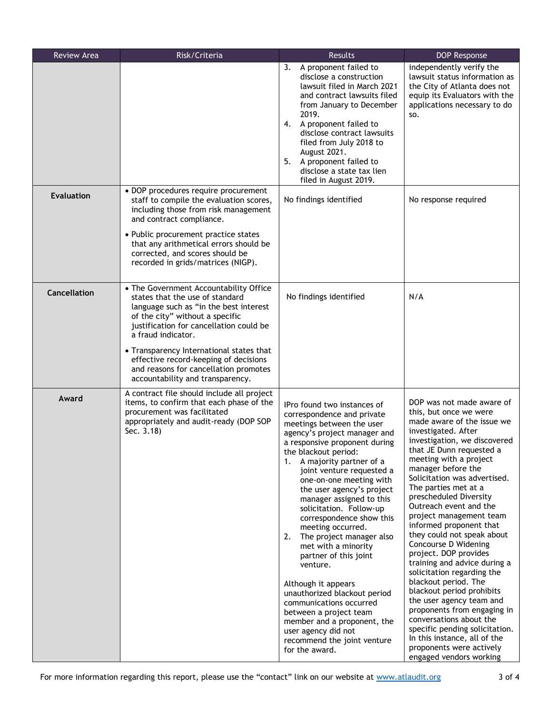| <b>Review Area</b>  | Risk/Criteria                                                                                                                                                                                                                                                                                                                                                                             | <b>Results</b>                                                                                                                                                                                                                                                                                                                                                                                                                                                                                                                                                                                                                                                                                                              | DOP Response                                                                                                                                                                                                                                                                                                                                                                                                                                                                                                                                                                                                                                                                                                                                                                                            |
|---------------------|-------------------------------------------------------------------------------------------------------------------------------------------------------------------------------------------------------------------------------------------------------------------------------------------------------------------------------------------------------------------------------------------|-----------------------------------------------------------------------------------------------------------------------------------------------------------------------------------------------------------------------------------------------------------------------------------------------------------------------------------------------------------------------------------------------------------------------------------------------------------------------------------------------------------------------------------------------------------------------------------------------------------------------------------------------------------------------------------------------------------------------------|---------------------------------------------------------------------------------------------------------------------------------------------------------------------------------------------------------------------------------------------------------------------------------------------------------------------------------------------------------------------------------------------------------------------------------------------------------------------------------------------------------------------------------------------------------------------------------------------------------------------------------------------------------------------------------------------------------------------------------------------------------------------------------------------------------|
|                     |                                                                                                                                                                                                                                                                                                                                                                                           | A proponent failed to<br>3.<br>disclose a construction<br>lawsuit filed in March 2021<br>and contract lawsuits filed<br>from January to December<br>2019.<br>4. A proponent failed to<br>disclose contract lawsuits<br>filed from July 2018 to<br>August 2021.<br>5.<br>A proponent failed to<br>disclose a state tax lien<br>filed in August 2019.                                                                                                                                                                                                                                                                                                                                                                         | independently verify the<br>lawsuit status information as<br>the City of Atlanta does not<br>equip its Evaluators with the<br>applications necessary to do<br>SO.                                                                                                                                                                                                                                                                                                                                                                                                                                                                                                                                                                                                                                       |
| <b>Evaluation</b>   | • DOP procedures require procurement<br>staff to compile the evaluation scores,<br>including those from risk management<br>and contract compliance.<br>• Public procurement practice states<br>that any arithmetical errors should be<br>corrected, and scores should be<br>recorded in grids/matrices (NIGP).                                                                            | No findings identified                                                                                                                                                                                                                                                                                                                                                                                                                                                                                                                                                                                                                                                                                                      | No response required                                                                                                                                                                                                                                                                                                                                                                                                                                                                                                                                                                                                                                                                                                                                                                                    |
| <b>Cancellation</b> | • The Government Accountability Office<br>states that the use of standard<br>language such as "in the best interest<br>of the city" without a specific<br>justification for cancellation could be<br>a fraud indicator.<br>• Transparency International states that<br>effective record-keeping of decisions<br>and reasons for cancellation promotes<br>accountability and transparency. | No findings identified                                                                                                                                                                                                                                                                                                                                                                                                                                                                                                                                                                                                                                                                                                      | N/A                                                                                                                                                                                                                                                                                                                                                                                                                                                                                                                                                                                                                                                                                                                                                                                                     |
| Award               | A contract file should include all project<br>items, to confirm that each phase of the<br>procurement was facilitated<br>appropriately and audit-ready (DOP SOP<br>Sec. 3.18)                                                                                                                                                                                                             | IPro found two instances of<br>correspondence and private<br>meetings between the user<br>agency's project manager and<br>a responsive proponent during<br>the blackout period:<br>1. A majority partner of a<br>joint venture requested a<br>one-on-one meeting with<br>the user agency's project<br>manager assigned to this<br>solicitation. Follow-up<br>correspondence show this<br>meeting occurred.<br>The project manager also<br>2.<br>met with a minority<br>partner of this joint<br>venture.<br>Although it appears<br>unauthorized blackout period<br>communications occurred<br>between a project team<br>member and a proponent, the<br>user agency did not<br>recommend the joint venture<br>for the award. | DOP was not made aware of<br>this, but once we were<br>made aware of the issue we<br>investigated. After<br>investigation, we discovered<br>that JE Dunn requested a<br>meeting with a project<br>manager before the<br>Solicitation was advertised.<br>The parties met at a<br>prescheduled Diversity<br>Outreach event and the<br>project management team<br>informed proponent that<br>they could not speak about<br>Concourse D Widening<br>project. DOP provides<br>training and advice during a<br>solicitation regarding the<br>blackout period. The<br>blackout period prohibits<br>the user agency team and<br>proponents from engaging in<br>conversations about the<br>specific pending solicitation.<br>In this instance, all of the<br>proponents were actively<br>engaged vendors working |